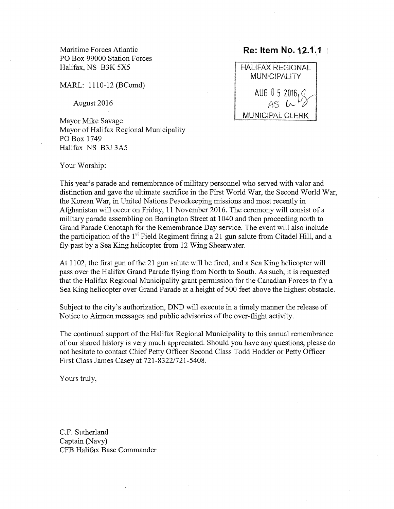Maritime Forces Atlantic **Re: Item No. 12.1.1** PO Box 99000 Station Forces Halifax, NS B3K 5X5 HALIFAX REGIONAL

MARL: 1110-12 (BComd)

August 2016

Mayor of Halifax Regional Municipality P0 Box 1749 Halifax NS B3J 3A5



Your Worship:

This year's parade and remembrance of military personnel who served with valor and distinction and gave the ultimate sacrifice in the First World War, the Second World War, the Korean War, in United Nations Peacekeeping missions and most recently in Afghanistan will occur on Friday, <sup>11</sup> November 2016. The ceremony will consist of <sup>a</sup> military parade assembling on Barrington Street at 1040 and then proceeding north to Grand Parade Cenotaph for the Remembrance Day service. The event will also include the participation of the  $1<sup>st</sup>$  Field Regiment firing a 21 gun salute from Citadel Hill, and a fly-past by a Sea King helicopter from 12 Wing Shearwater.

At 1102, the first gun of the <sup>21</sup> gun salute will be fired, and <sup>a</sup> Sea King helicopter will pass over the Halifax Grand Parade flying from North to South. As such, it is requested that the Halifax Regional Municipality grant permission for the Canadian Forces to fly <sup>a</sup> Sea King helicopter over Grand Parade at <sup>a</sup> height of 500 feet above the highest obstacle.

Subject to the city's authorization, DND will execute in <sup>a</sup> timely manner the release of Notice to Airmen messages and public advisories of the over-flight activity.

The continued support of the Halifax Regional Municipality to this annual remembrance of our shared history is very much appreciated. Should you have any questions, please do not hesitate to contact Chief Petty Officer Second Class Todd Hodder or Petty Officer First Class James Casey at 721-8322/721-5408.

Yours truly,

C.F. Sutherland Captain (Navy) CFB Halifax Base Commander